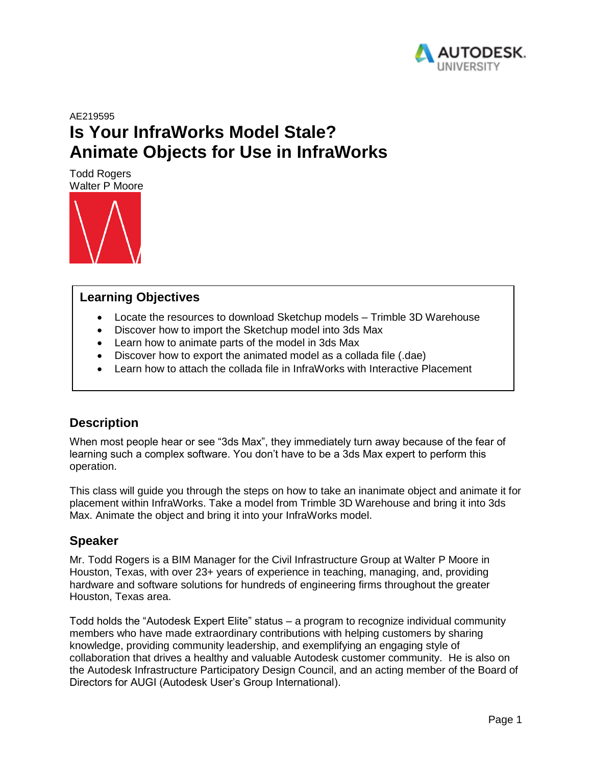

# AE219595 **Is Your InfraWorks Model Stale? Animate Objects for Use in InfraWorks**

Todd Rogers Walter P Moore



#### **Learning Objectives**

- Locate the resources to download Sketchup models Trimble 3D Warehouse
- Discover how to import the Sketchup model into 3ds Max
- Learn how to animate parts of the model in 3ds Max
- Discover how to export the animated model as a collada file (.dae)
- Learn how to attach the collada file in InfraWorks with Interactive Placement

### **Description**

When most people hear or see "3ds Max", they immediately turn away because of the fear of learning such a complex software. You don't have to be a 3ds Max expert to perform this operation.

This class will guide you through the steps on how to take an inanimate object and animate it for placement within InfraWorks. Take a model from Trimble 3D Warehouse and bring it into 3ds Max. Animate the object and bring it into your InfraWorks model.

### **Speaker**

Mr. Todd Rogers is a BIM Manager for the Civil Infrastructure Group at Walter P Moore in Houston, Texas, with over 23+ years of experience in teaching, managing, and, providing hardware and software solutions for hundreds of engineering firms throughout the greater Houston, Texas area.

Todd holds the "Autodesk Expert Elite" status – a program to recognize individual community members who have made extraordinary contributions with helping customers by sharing knowledge, providing community leadership, and exemplifying an engaging style of collaboration that drives a healthy and valuable Autodesk customer community. He is also on the Autodesk Infrastructure Participatory Design Council, and an acting member of the Board of Directors for AUGI (Autodesk User's Group International).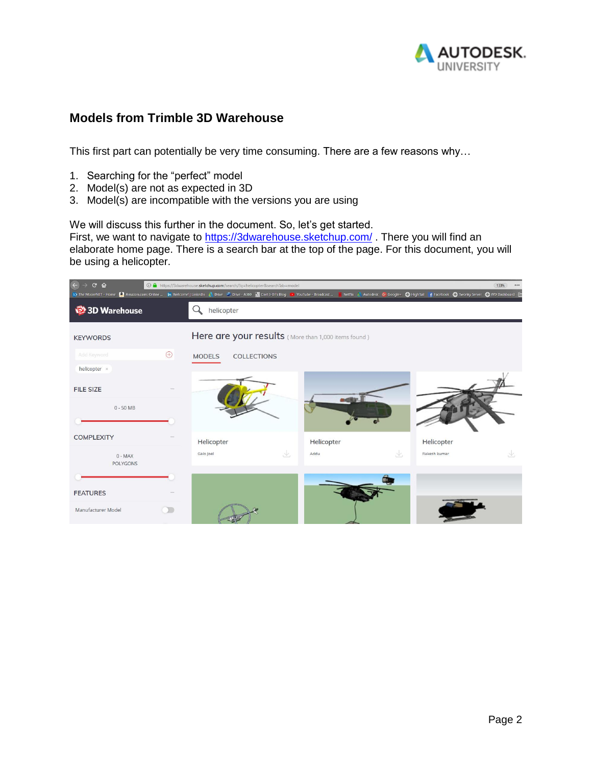

### **Models from Trimble 3D Warehouse**

This first part can potentially be very time consuming. There are a few reasons why…

- 1. Searching for the "perfect" model
- 2. Model(s) are not as expected in 3D
- 3. Model(s) are incompatible with the versions you are using

We will discuss this further in the document. So, let's get started.

First, we want to navigate to <https://3dwarehouse.sketchup.com/>. There you will find an elaborate home page. There is a search bar at the top of the page. For this document, you will be using a helicopter.

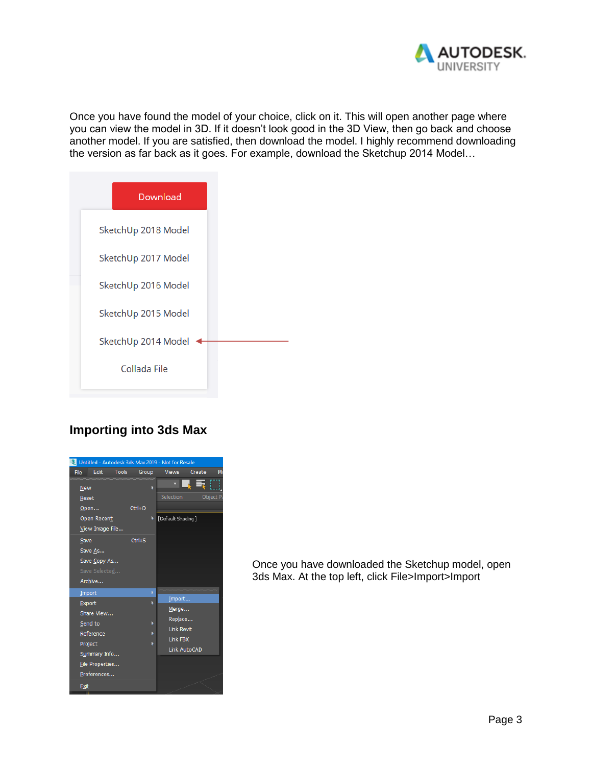

Once you have found the model of your choice, click on it. This will open another page where you can view the model in 3D. If it doesn't look good in the 3D View, then go back and choose another model. If you are satisfied, then download the model. I highly recommend downloading the version as far back as it goes. For example, download the Sketchup 2014 Model…

| Download            |  |
|---------------------|--|
| SketchUp 2018 Model |  |
| SketchUp 2017 Model |  |
| SketchUp 2016 Model |  |
| SketchUp 2015 Model |  |
| SketchUp 2014 Model |  |
| Collada File        |  |
|                     |  |

# **Importing into 3ds Max**



Once you have downloaded the Sketchup model, open 3ds Max. At the top left, click File>Import>Import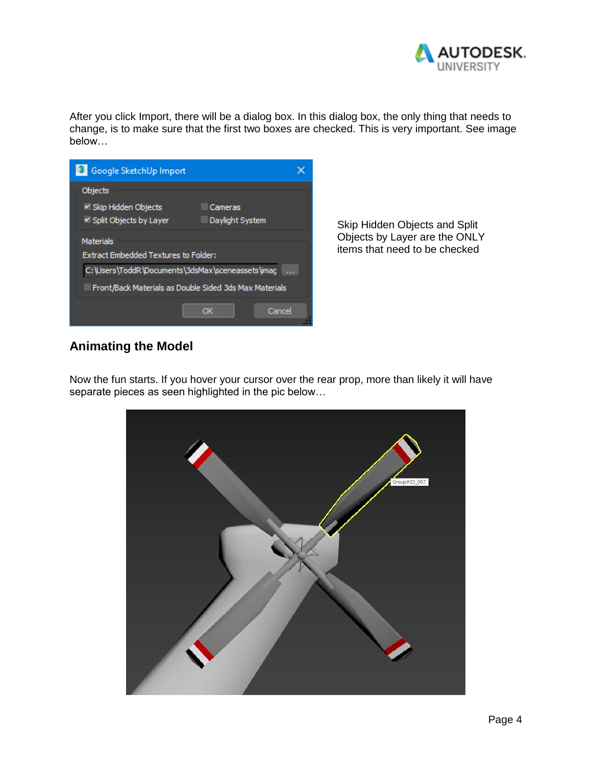

After you click Import, there will be a dialog box. In this dialog box, the only thing that needs to change, is to make sure that the first two boxes are checked. This is very important. See image below…

| Google SketchUp Import                                                        |        |
|-------------------------------------------------------------------------------|--------|
| Objects                                                                       |        |
| V Skip Hidden Objects<br>Cameras<br>Split Objects by Layer<br>Daylight System |        |
| <b>Materials</b><br><b>Extract Embedded Textures to Folder:</b>               |        |
| C:\Users\ToddR\Documents\3dsMax\sceneassets\imag                              |        |
| Front/Back Materials as Double Sided 3ds Max Materials                        |        |
|                                                                               | Cancel |

Skip Hidden Objects and Split Objects by Layer are the ONLY items that need to be checked

### **Animating the Model**

Now the fun starts. If you hover your cursor over the rear prop, more than likely it will have separate pieces as seen highlighted in the pic below…

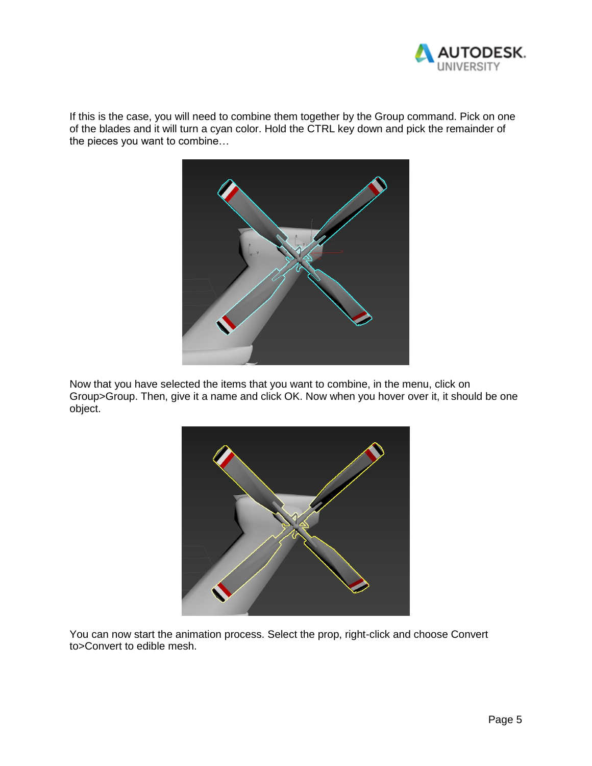

If this is the case, you will need to combine them together by the Group command. Pick on one of the blades and it will turn a cyan color. Hold the CTRL key down and pick the remainder of the pieces you want to combine…



Now that you have selected the items that you want to combine, in the menu, click on Group>Group. Then, give it a name and click OK. Now when you hover over it, it should be one object.



You can now start the animation process. Select the prop, right-click and choose Convert to>Convert to edible mesh.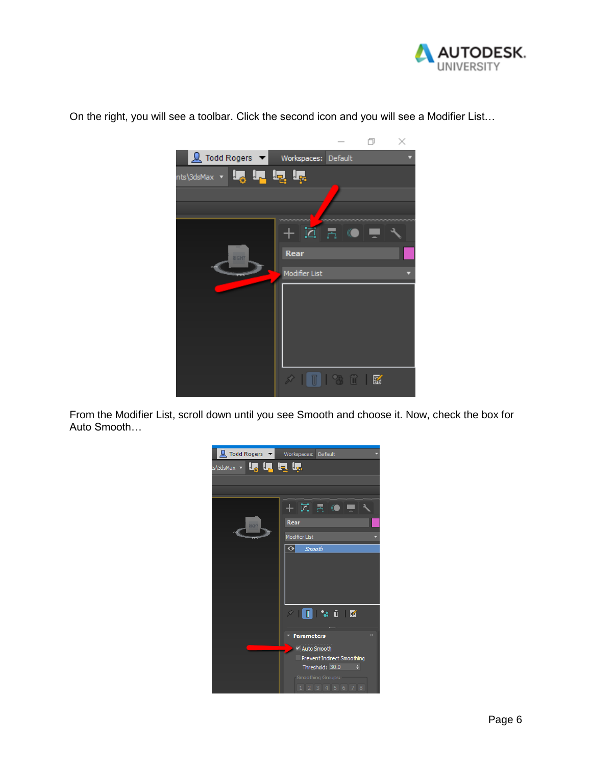



On the right, you will see a toolbar. Click the second icon and you will see a Modifier List…

From the Modifier List, scroll down until you see Smooth and choose it. Now, check the box for Auto Smooth…

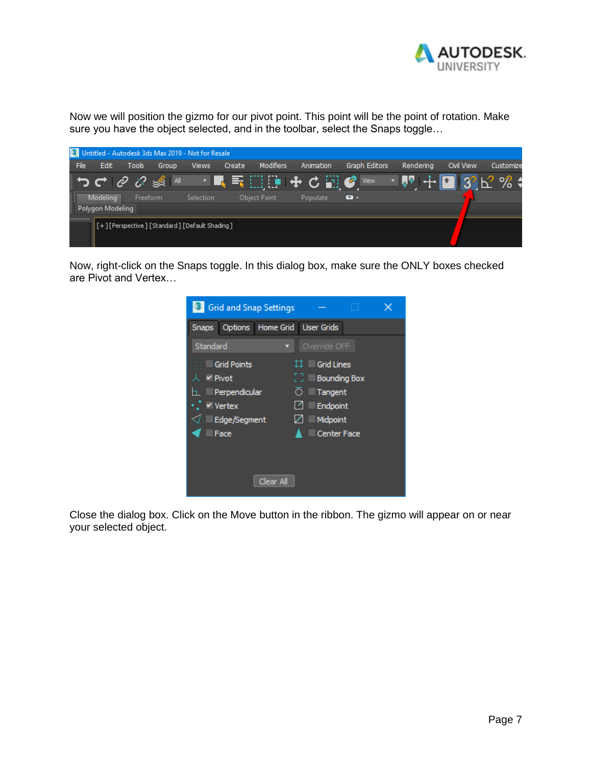

Now we will position the gizmo for our pivot point. This point will be the point of rotation. Make sure you have the object selected, and in the toolbar, select the Snaps toggle…

|      |                  |          |       | 3 Untitled - Autodesk 3ds Max 2019 - Not for Resale |        |                     |           |               |           |                   |                                                  |
|------|------------------|----------|-------|-----------------------------------------------------|--------|---------------------|-----------|---------------|-----------|-------------------|--------------------------------------------------|
| File | Edit             | Tools    | Group | <b>Views</b>                                        | Create | Modifiers           | Animation | Graph Editors | Renderina | <b>Civil View</b> | Customize                                        |
|      |                  |          |       |                                                     |        |                     | ▁▉▜░░▓▓░  |               | V Q P N   |                   | $\pm \blacksquare$ 3 $\mathtt{K}$ % $\mathtt{G}$ |
|      | <b>Modeling</b>  | Freeform |       | <b>Selection</b>                                    |        | <b>Object Paint</b> | Populate  | • ھ           |           |                   |                                                  |
|      | Polygon Modeling |          |       |                                                     |        |                     |           |               |           |                   |                                                  |
|      |                  |          |       | [+][Perspective][Standard][Default Shading]         |        |                     |           |               |           |                   |                                                  |

Now, right-click on the Snaps toggle. In this dialog box, make sure the ONLY boxes checked are Pivot and Vertex…

| <b>Grid and Snap Settings</b>                                                         |                                                                                                                   |
|---------------------------------------------------------------------------------------|-------------------------------------------------------------------------------------------------------------------|
| Home Grid<br><b>Snaps</b><br>Options                                                  | <b>User Grids</b>                                                                                                 |
| Standard                                                                              | Override OFF                                                                                                      |
| <b>Grid Points</b><br>$\vee$ Pivot<br>Perpendicular<br>Vertex<br>Edge/Segment<br>Face | ㅁ<br><b>Grid Lines</b><br>53<br><b>Bounding Box</b><br>Tangent<br>∩<br>Endpoint<br>Midpoint<br><b>Center Face</b> |
|                                                                                       |                                                                                                                   |

Close the dialog box. Click on the Move button in the ribbon. The gizmo will appear on or near your selected object.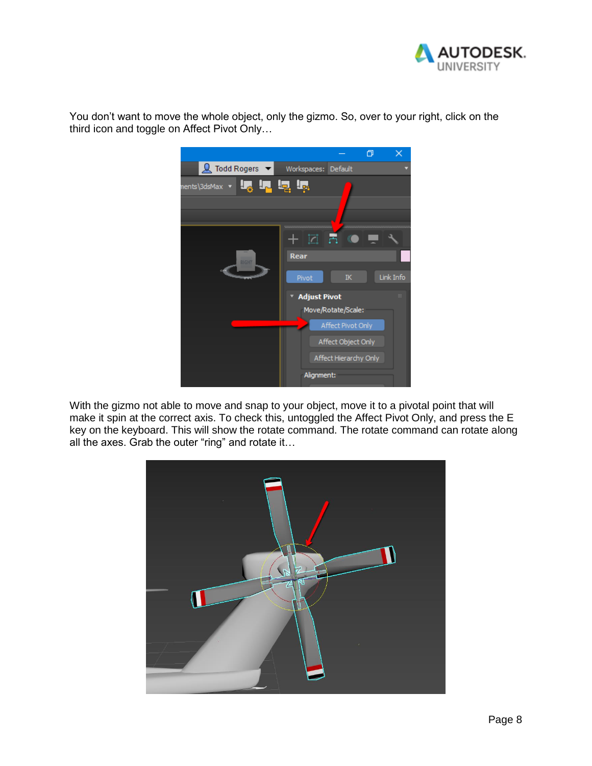

You don't want to move the whole object, only the gizmo. So, over to your right, click on the third icon and toggle on Affect Pivot Only…



With the gizmo not able to move and snap to your object, move it to a pivotal point that will make it spin at the correct axis. To check this, untoggled the Affect Pivot Only, and press the E key on the keyboard. This will show the rotate command. The rotate command can rotate along all the axes. Grab the outer "ring" and rotate it…

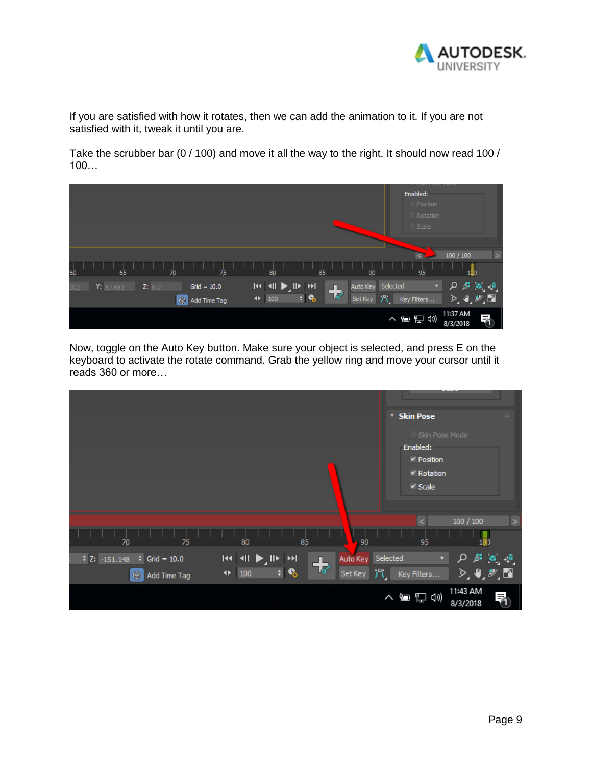

If you are satisfied with how it rotates, then we can add the animation to it. If you are not satisfied with it, tweak it until you are.

Take the scrubber bar (0 / 100) and move it all the way to the right. It should now read 100 / 100…



Now, toggle on the Auto Key button. Make sure your object is selected, and press E on the keyboard to activate the rotate command. Grab the yellow ring and move your cursor until it reads 360 or more…

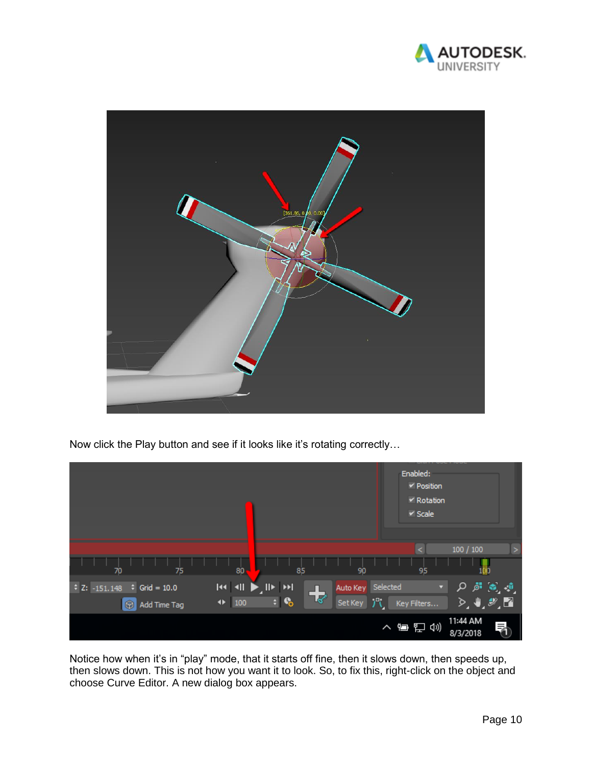



Now click the Play button and see if it looks like it's rotating correctly…



Notice how when it's in "play" mode, that it starts off fine, then it slows down, then speeds up, then slows down. This is not how you want it to look. So, to fix this, right-click on the object and choose Curve Editor. A new dialog box appears.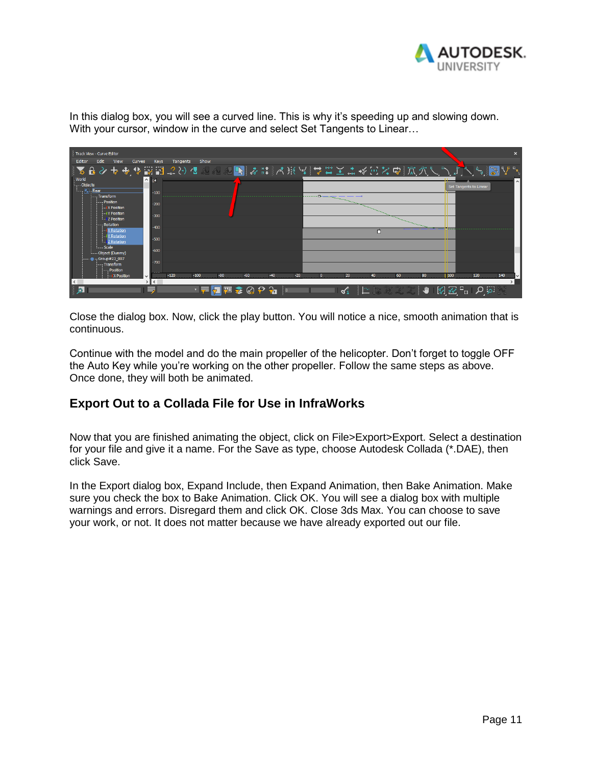

In this dialog box, you will see a curved line. This is why it's speeding up and slowing down. With your cursor, window in the curve and select Set Tangents to Linear...



Close the dialog box. Now, click the play button. You will notice a nice, smooth animation that is continuous.

Continue with the model and do the main propeller of the helicopter. Don't forget to toggle OFF the Auto Key while you're working on the other propeller. Follow the same steps as above. Once done, they will both be animated.

### **Export Out to a Collada File for Use in InfraWorks**

Now that you are finished animating the object, click on File>Export>Export. Select a destination for your file and give it a name. For the Save as type, choose Autodesk Collada (\*.DAE), then click Save.

In the Export dialog box, Expand Include, then Expand Animation, then Bake Animation. Make sure you check the box to Bake Animation. Click OK. You will see a dialog box with multiple warnings and errors. Disregard them and click OK. Close 3ds Max. You can choose to save your work, or not. It does not matter because we have already exported out our file.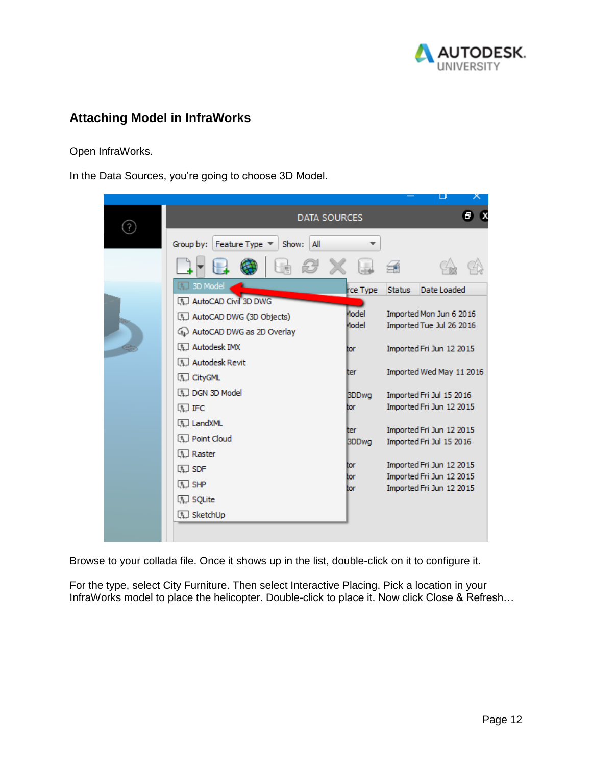

### **Attaching Model in InfraWorks**

Open InfraWorks.

In the Data Sources, you're going to choose 3D Model.

|                                             |              |               | ப                                                    |   |
|---------------------------------------------|--------------|---------------|------------------------------------------------------|---|
| <b>DATA SOURCES</b>                         |              |               |                                                      | в |
| Feature Type ▼<br>Group by:<br>Show:<br>All |              |               |                                                      |   |
|                                             |              |               |                                                      |   |
| Q.<br>3D Model                              | rce Type     | <b>Status</b> | Date Loaded                                          |   |
| [1] AutoCAD Civil 3D DWG                    |              |               |                                                      |   |
| [1] AutoCAD DWG (3D Objects)                | Model        |               | Imported Mon Jun 6 2016                              |   |
| 4 AutoCAD DWG as 2D Overlay                 | Model        |               | Imported Tue Jul 26 2016                             |   |
| (1) Autodesk IMX                            | tor          |               | Imported Fri Jun 12 2015                             |   |
| (1) Autodesk Revit                          |              |               |                                                      |   |
| (1) CityGML                                 | ter          |               | Imported Wed May 11 2016                             |   |
| <b>In DGN 3D Model</b>                      |              |               |                                                      |   |
|                                             | <b>BDDwg</b> |               | Imported Fri Jul 15 2016<br>Imported Fri Jun 12 2015 |   |
| (1) IFC                                     | tor          |               |                                                      |   |
| [1] LandXML                                 | ter          |               | Imported Fri Jun 12 2015                             |   |
| <b>Q.</b> Point Cloud                       | <b>BDDwg</b> |               | Imported Fri Jul 15 2016                             |   |
| [1] Raster                                  |              |               |                                                      |   |
| (L) SDF                                     | tor          |               | Imported Fri Jun 12 2015                             |   |
| (L) SHP                                     | tor          |               | Imported Fri Jun 12 2015                             |   |
|                                             | tor          |               | Imported Fri Jun 12 2015                             |   |
| <b>Q.</b> SQLite                            |              |               |                                                      |   |
| (1) SketchUp                                |              |               |                                                      |   |
|                                             |              |               |                                                      |   |
|                                             |              |               |                                                      |   |

Browse to your collada file. Once it shows up in the list, double-click on it to configure it.

For the type, select City Furniture. Then select Interactive Placing. Pick a location in your InfraWorks model to place the helicopter. Double-click to place it. Now click Close & Refresh...